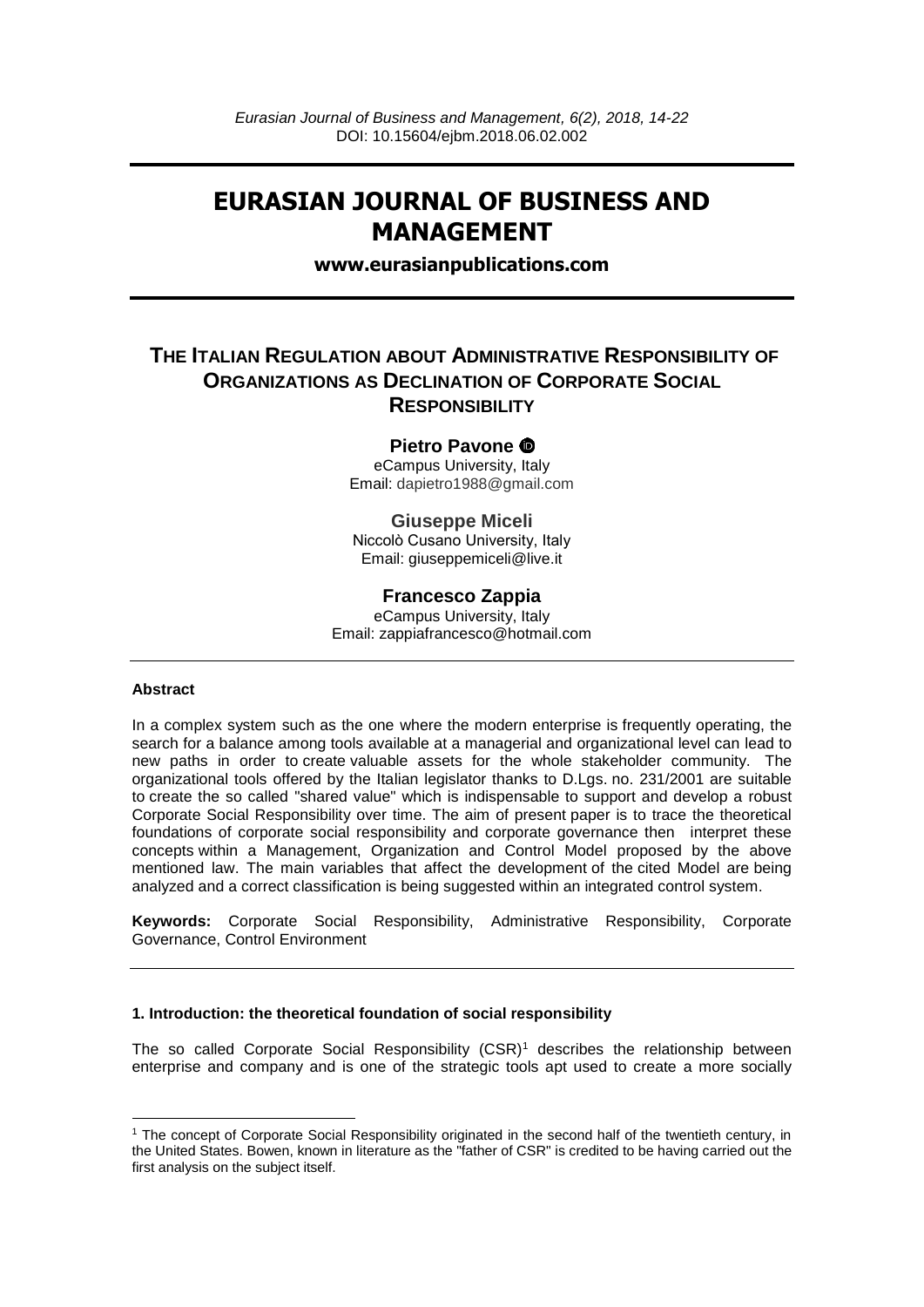# **EURASIAN JOURNAL OF BUSINESS AND MANAGEMENT**

**www.eurasianpublications.com**

## **THE ITALIAN REGULATION ABOUT ADMINISTRATIVE RESPONSIBILITY OF ORGANIZATIONS AS DECLINATION OF CORPORATE SOCIAL RESPONSIBILITY**

## **Pietro Pavone**

eCampus University, Italy Email: dapietro1988@gmail.com

## **Giuseppe Miceli**

Niccolò Cusano University, Italy Email: giuseppemiceli@live.it

## **Francesco Zappia**

eCampus University, Italy Email: zappiafrancesco@hotmail.com

#### **Abstract**

**.** 

In a complex system such as the one where the modern enterprise is frequently operating, the search for a balance among tools available at a managerial and organizational level can lead to new paths in order to create valuable assets for the whole stakeholder community. The organizational tools offered by the Italian legislator thanks to D.Lgs. no. 231/2001 are suitable to create the so called "shared value" which is indispensable to support and develop a robust Corporate Social Responsibility over time. The aim of present paper is to trace the theoretical foundations of corporate social responsibility and corporate governance then interpret these concepts within a Management, Organization and Control Model proposed by the above mentioned law. The main variables that affect the development of the cited Model are being analyzed and a correct classification is being suggested within an integrated control system.

**Keywords:** Corporate Social Responsibility, Administrative Responsibility, Corporate Governance, Control Environment

### **1. Introduction: the theoretical foundation of social responsibility**

The so called Corporate Social Responsibility (CSR)<sup>1</sup> describes the relationship between enterprise and company and is one of the strategic tools apt used to create a more socially

<sup>1</sup> The concept of Corporate Social Responsibility originated in the second half of the twentieth century, in the United States. Bowen, known in literature as the "father of CSR" is credited to be having carried out the first analysis on the subject itself.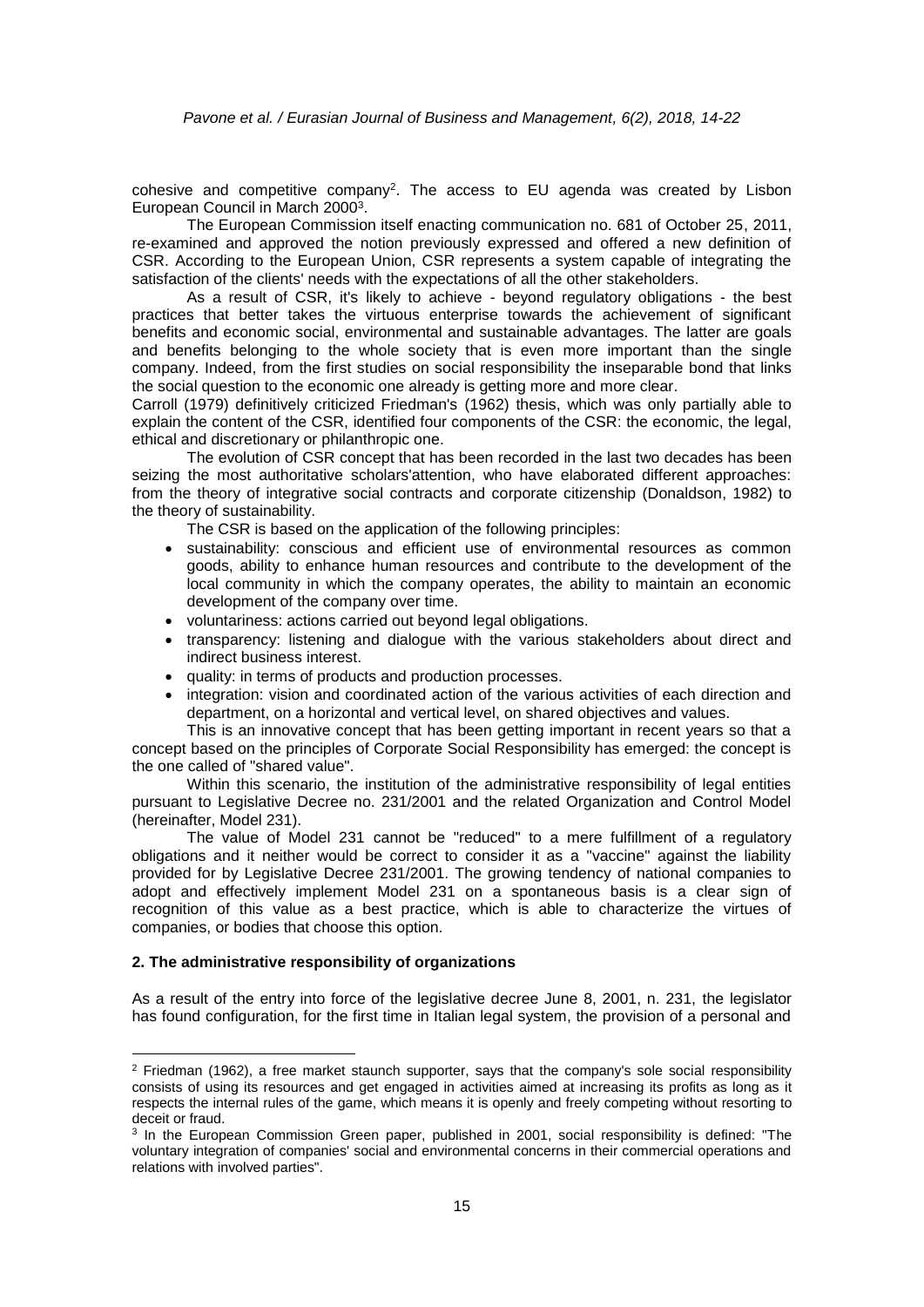cohesive and competitive company<sup>2</sup>. The access to EU agenda was created by Lisbon European Council in March 2000<sup>3</sup> .

The European Commission itself enacting communication no. 681 of October 25, 2011, re-examined and approved the notion previously expressed and offered a new definition of CSR. According to the European Union, CSR represents a system capable of integrating the satisfaction of the clients' needs with the expectations of all the other stakeholders.

As a result of CSR, it's likely to achieve - beyond regulatory obligations - the best practices that better takes the virtuous enterprise towards the achievement of significant benefits and economic social, environmental and sustainable advantages. The latter are goals and benefits belonging to the whole society that is even more important than the single company. Indeed, from the first studies on social responsibility the inseparable bond that links the social question to the economic one already is getting more and more clear.

Carroll (1979) definitively criticized Friedman's (1962) thesis, which was only partially able to explain the content of the CSR, identified four components of the CSR: the economic, the legal, ethical and discretionary or philanthropic one.

The evolution of CSR concept that has been recorded in the last two decades has been seizing the most authoritative scholars'attention, who have elaborated different approaches: from the theory of integrative social contracts and corporate citizenship (Donaldson, 1982) to the theory of sustainability.

The CSR is based on the application of the following principles:

- sustainability: conscious and efficient use of environmental resources as common goods, ability to enhance human resources and contribute to the development of the local community in which the company operates, the ability to maintain an economic development of the company over time.
- voluntariness: actions carried out beyond legal obligations.
- transparency: listening and dialogue with the various stakeholders about direct and indirect business interest.
- quality: in terms of products and production processes.
- integration: vision and coordinated action of the various activities of each direction and department, on a horizontal and vertical level, on shared objectives and values.

This is an innovative concept that has been getting important in recent years so that a concept based on the principles of Corporate Social Responsibility has emerged: the concept is the one called of "shared value".

Within this scenario, the institution of the administrative responsibility of legal entities pursuant to Legislative Decree no. 231/2001 and the related Organization and Control Model (hereinafter, Model 231).

The value of Model 231 cannot be "reduced" to a mere fulfillment of a regulatory obligations and it neither would be correct to consider it as a "vaccine" against the liability provided for by Legislative Decree 231/2001. The growing tendency of national companies to adopt and effectively implement Model 231 on a spontaneous basis is a clear sign of recognition of this value as a best practice, which is able to characterize the virtues of companies, or bodies that choose this option.

#### **2. The administrative responsibility of organizations**

1

As a result of the entry into force of the legislative decree June 8, 2001, n. 231, the legislator has found configuration, for the first time in Italian legal system, the provision of a personal and

<sup>&</sup>lt;sup>2</sup> Friedman (1962), a free market staunch supporter, says that the company's sole social responsibility consists of using its resources and get engaged in activities aimed at increasing its profits as long as it respects the internal rules of the game, which means it is openly and freely competing without resorting to deceit or fraud.

<sup>&</sup>lt;sup>3</sup> In the European Commission Green paper, published in 2001, social responsibility is defined: "The voluntary integration of companies' social and environmental concerns in their commercial operations and relations with involved parties".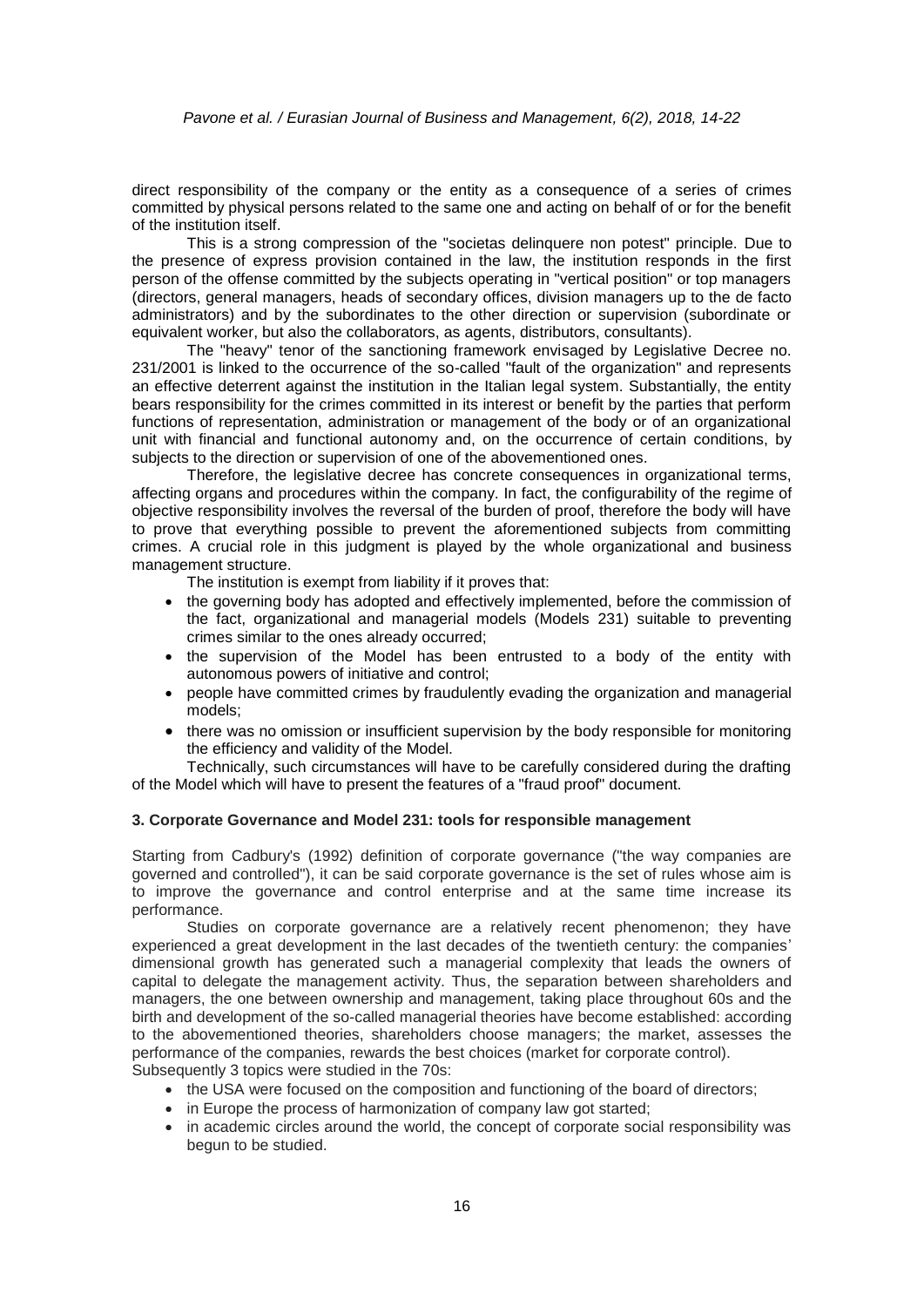direct responsibility of the company or the entity as a consequence of a series of crimes committed by physical persons related to the same one and acting on behalf of or for the benefit of the institution itself.

This is a strong compression of the "societas delinquere non potest" principle. Due to the presence of express provision contained in the law, the institution responds in the first person of the offense committed by the subjects operating in "vertical position" or top managers (directors, general managers, heads of secondary offices, division managers up to the de facto administrators) and by the subordinates to the other direction or supervision (subordinate or equivalent worker, but also the collaborators, as agents, distributors, consultants).

The "heavy" tenor of the sanctioning framework envisaged by Legislative Decree no. 231/2001 is linked to the occurrence of the so-called "fault of the organization" and represents an effective deterrent against the institution in the Italian legal system. Substantially, the entity bears responsibility for the crimes committed in its interest or benefit by the parties that perform functions of representation, administration or management of the body or of an organizational unit with financial and functional autonomy and, on the occurrence of certain conditions, by subjects to the direction or supervision of one of the abovementioned ones.

Therefore, the legislative decree has concrete consequences in organizational terms, affecting organs and procedures within the company. In fact, the configurability of the regime of objective responsibility involves the reversal of the burden of proof, therefore the body will have to prove that everything possible to prevent the aforementioned subjects from committing crimes. A crucial role in this judgment is played by the whole organizational and business management structure.

The institution is exempt from liability if it proves that:

- the governing body has adopted and effectively implemented, before the commission of the fact, organizational and managerial models (Models 231) suitable to preventing crimes similar to the ones already occurred;
- the supervision of the Model has been entrusted to a body of the entity with autonomous powers of initiative and control;
- people have committed crimes by fraudulently evading the organization and managerial models;
- there was no omission or insufficient supervision by the body responsible for monitoring the efficiency and validity of the Model.

Technically, such circumstances will have to be carefully considered during the drafting of the Model which will have to present the features of a "fraud proof" document.

#### **3. Corporate Governance and Model 231: tools for responsible management**

Starting from Cadbury's (1992) definition of corporate governance ("the way companies are governed and controlled"), it can be said corporate governance is the set of rules whose aim is to improve the governance and control enterprise and at the same time increase its performance.

Studies on corporate governance are a relatively recent phenomenon; they have experienced a great development in the last decades of the twentieth century: the companies' dimensional growth has generated such a managerial complexity that leads the owners of capital to delegate the management activity. Thus, the separation between shareholders and managers, the one between ownership and management, taking place throughout 60s and the birth and development of the so-called managerial theories have become established: according to the abovementioned theories, shareholders choose managers; the market, assesses the performance of the companies, rewards the best choices (market for corporate control). Subsequently 3 topics were studied in the 70s:

- the USA were focused on the composition and functioning of the board of directors;
- in Europe the process of harmonization of company law got started;
- in academic circles around the world, the concept of corporate social responsibility was begun to be studied.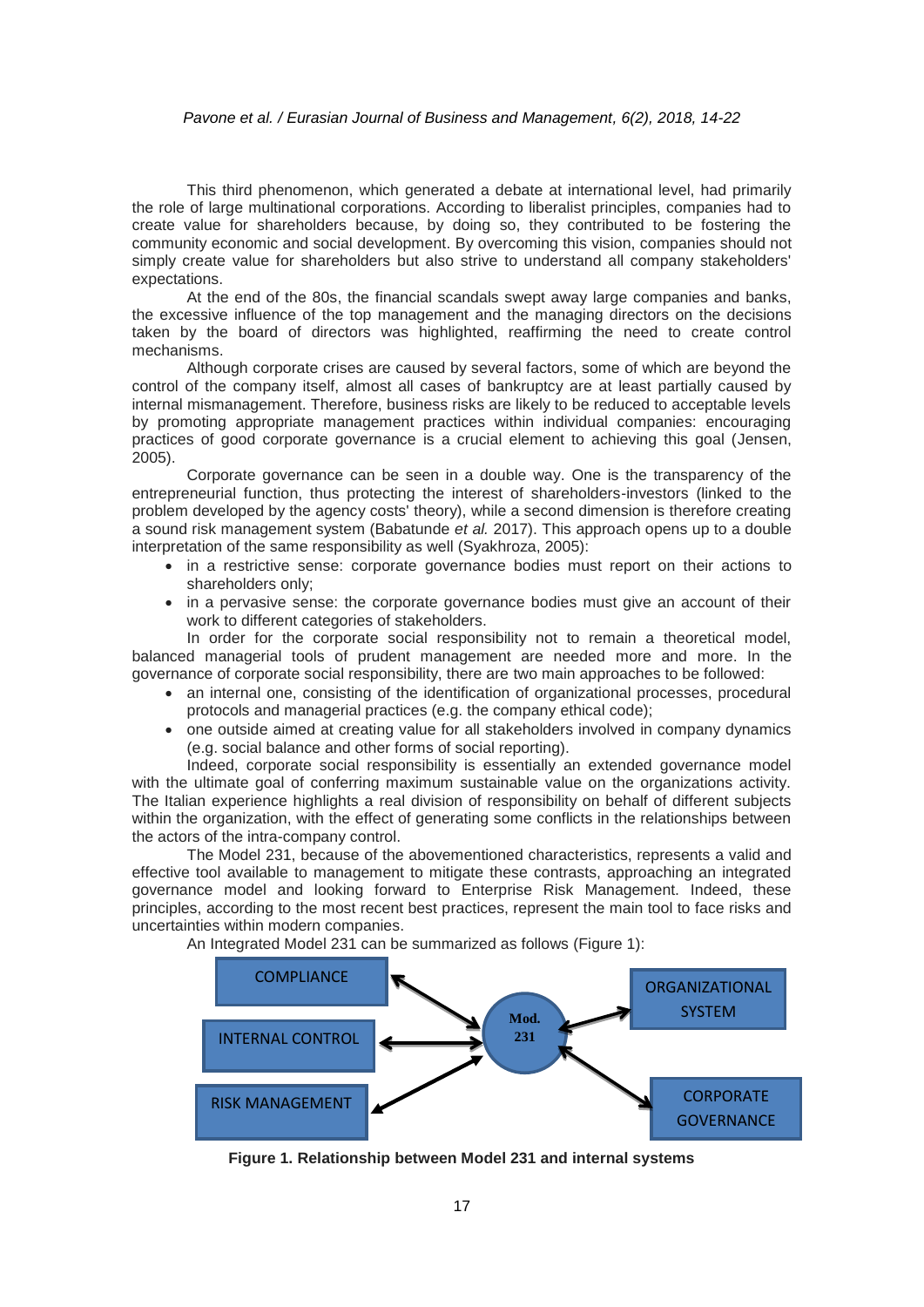#### *Pavone et al. / Eurasian Journal of Business and Management, 6(2), 2018, 14-22*

This third phenomenon, which generated a debate at international level, had primarily the role of large multinational corporations. According to liberalist principles, companies had to create value for shareholders because, by doing so, they contributed to be fostering the community economic and social development. By overcoming this vision, companies should not simply create value for shareholders but also strive to understand all company stakeholders' expectations.

At the end of the 80s, the financial scandals swept away large companies and banks, the excessive influence of the top management and the managing directors on the decisions taken by the board of directors was highlighted, reaffirming the need to create control mechanisms.

Although corporate crises are caused by several factors, some of which are beyond the control of the company itself, almost all cases of bankruptcy are at least partially caused by internal mismanagement. Therefore, business risks are likely to be reduced to acceptable levels by promoting appropriate management practices within individual companies: encouraging practices of good corporate governance is a crucial element to achieving this goal (Jensen, 2005).

Corporate governance can be seen in a double way. One is the transparency of the entrepreneurial function, thus protecting the interest of shareholders-investors (linked to the problem developed by the agency costs' theory), while a second dimension is therefore creating a sound risk management system (Babatunde *et al.* 2017). This approach opens up to a double interpretation of the same responsibility as well (Syakhroza, 2005):

- in a restrictive sense: corporate governance bodies must report on their actions to shareholders only;
- in a pervasive sense: the corporate governance bodies must give an account of their work to different categories of stakeholders.

In order for the corporate social responsibility not to remain a theoretical model, balanced managerial tools of prudent management are needed more and more. In the governance of corporate social responsibility, there are two main approaches to be followed:

- an internal one, consisting of the identification of organizational processes, procedural protocols and managerial practices (e.g. the company ethical code);
- one outside aimed at creating value for all stakeholders involved in company dynamics (e.g. social balance and other forms of social reporting).

Indeed, corporate social responsibility is essentially an extended governance model with the ultimate goal of conferring maximum sustainable value on the organizations activity. The Italian experience highlights a real division of responsibility on behalf of different subjects within the organization, with the effect of generating some conflicts in the relationships between the actors of the intra-company control.

The Model 231, because of the abovementioned characteristics, represents a valid and effective tool available to management to mitigate these contrasts, approaching an integrated governance model and looking forward to Enterprise Risk Management. Indeed, these principles, according to the most recent best practices, represent the main tool to face risks and uncertainties within modern companies.

An Integrated Model 231 can be summarized as follows (Figure 1):



**Figure 1. Relationship between Model 231 and internal systems**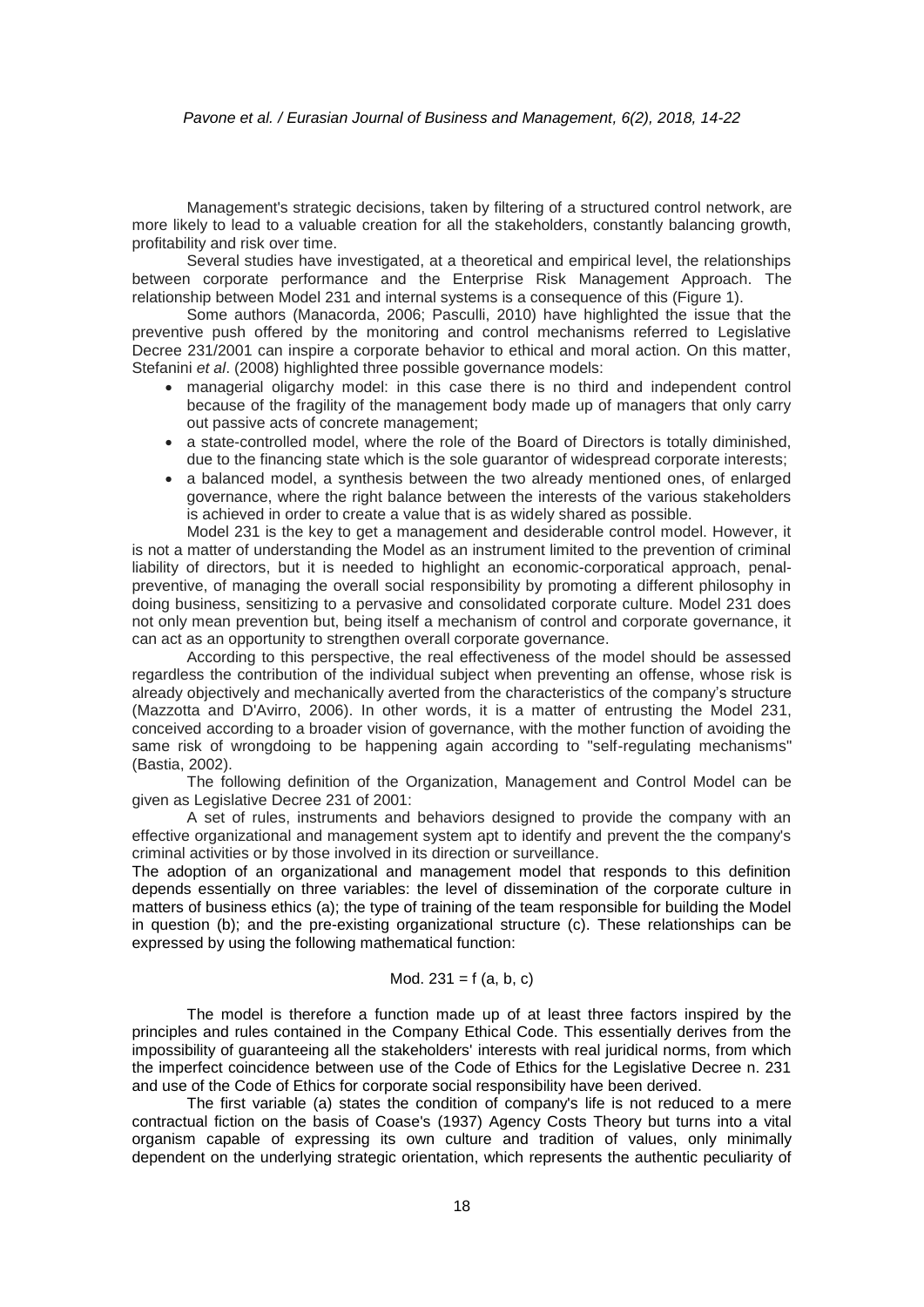#### *Pavone et al. / Eurasian Journal of Business and Management, 6(2), 2018, 14-22*

Management's strategic decisions, taken by filtering of a structured control network, are more likely to lead to a valuable creation for all the stakeholders, constantly balancing growth, profitability and risk over time.

Several studies have investigated, at a theoretical and empirical level, the relationships between corporate performance and the Enterprise Risk Management Approach. The relationship between Model 231 and internal systems is a consequence of this (Figure 1).

Some authors (Manacorda, 2006; Pasculli, 2010) have highlighted the issue that the preventive push offered by the monitoring and control mechanisms referred to Legislative Decree 231/2001 can inspire a corporate behavior to ethical and moral action. On this matter, Stefanini *et al*. (2008) highlighted three possible governance models:

- managerial oligarchy model: in this case there is no third and independent control because of the fragility of the management body made up of managers that only carry out passive acts of concrete management;
- a state-controlled model, where the role of the Board of Directors is totally diminished, due to the financing state which is the sole guarantor of widespread corporate interests;
- a balanced model, a synthesis between the two already mentioned ones, of enlarged governance, where the right balance between the interests of the various stakeholders is achieved in order to create a value that is as widely shared as possible.

Model 231 is the key to get a management and desiderable control model. However, it is not a matter of understanding the Model as an instrument limited to the prevention of criminal liability of directors, but it is needed to highlight an economic-corporatical approach, penalpreventive, of managing the overall social responsibility by promoting a different philosophy in doing business, sensitizing to a pervasive and consolidated corporate culture. Model 231 does not only mean prevention but, being itself a mechanism of control and corporate governance, it can act as an opportunity to strengthen overall corporate governance.

According to this perspective, the real effectiveness of the model should be assessed regardless the contribution of the individual subject when preventing an offense, whose risk is already objectively and mechanically averted from the characteristics of the company's structure (Mazzotta and D'Avirro, 2006). In other words, it is a matter of entrusting the Model 231, conceived according to a broader vision of governance, with the mother function of avoiding the same risk of wrongdoing to be happening again according to "self-regulating mechanisms" (Bastia, 2002).

The following definition of the Organization, Management and Control Model can be given as Legislative Decree 231 of 2001:

A set of rules, instruments and behaviors designed to provide the company with an effective organizational and management system apt to identify and prevent the the company's criminal activities or by those involved in its direction or surveillance.

The adoption of an organizational and management model that responds to this definition depends essentially on three variables: the level of dissemination of the corporate culture in matters of business ethics (a); the type of training of the team responsible for building the Model in question (b); and the pre-existing organizational structure (c). These relationships can be expressed by using the following mathematical function:

## Mod.  $231 = f(a, b, c)$

The model is therefore a function made up of at least three factors inspired by the principles and rules contained in the Company Ethical Code. This essentially derives from the impossibility of guaranteeing all the stakeholders' interests with real juridical norms, from which the imperfect coincidence between use of the Code of Ethics for the Legislative Decree n. 231 and use of the Code of Ethics for corporate social responsibility have been derived.

The first variable (a) states the condition of company's life is not reduced to a mere contractual fiction on the basis of Coase's (1937) Agency Costs Theory but turns into a vital organism capable of expressing its own culture and tradition of values, only minimally dependent on the underlying strategic orientation, which represents the authentic peculiarity of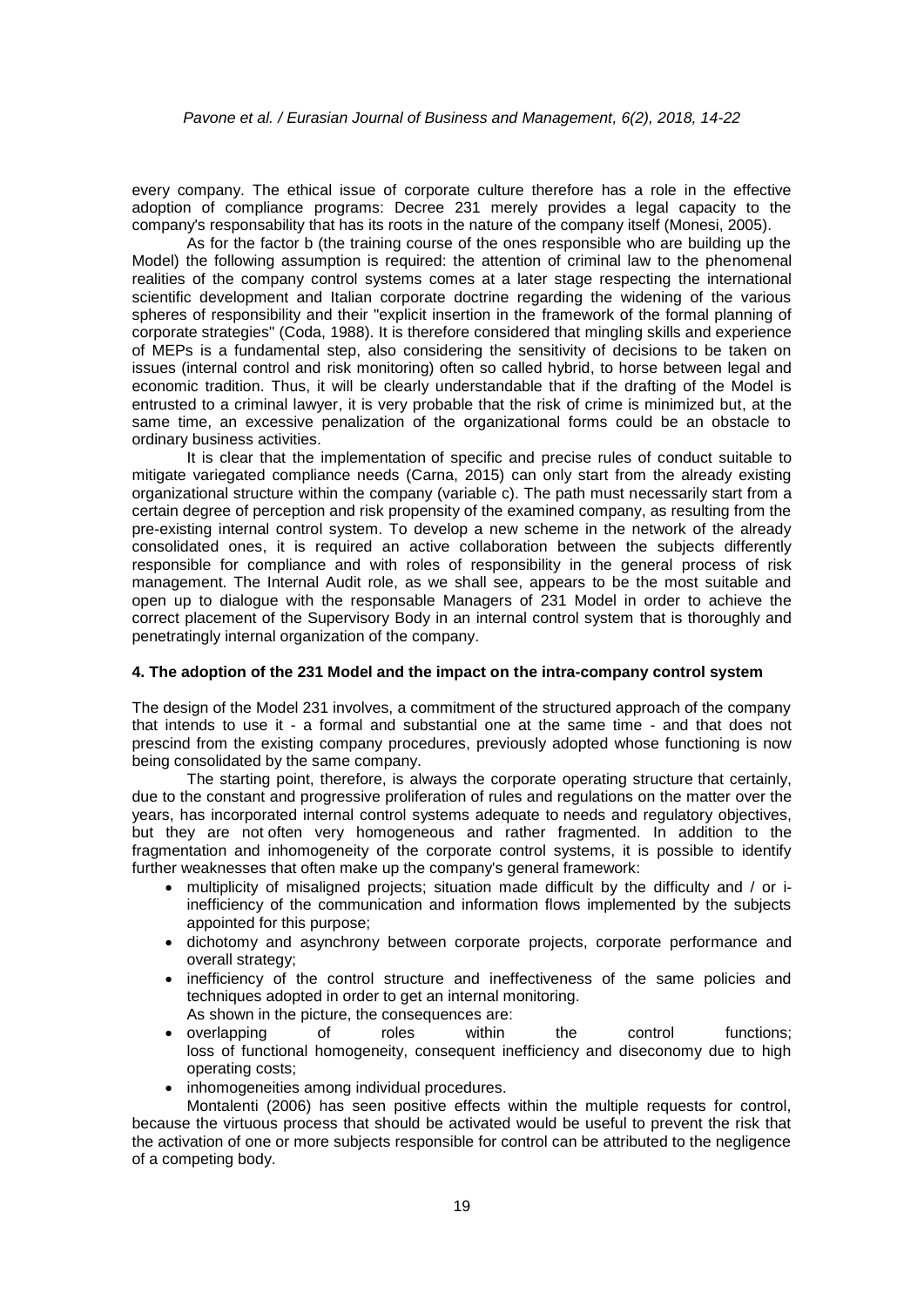every company. The ethical issue of corporate culture therefore has a role in the effective adoption of compliance programs: Decree 231 merely provides a legal capacity to the company's responsability that has its roots in the nature of the company itself (Monesi, 2005).

As for the factor b (the training course of the ones responsible who are building up the Model) the following assumption is required: the attention of criminal law to the phenomenal realities of the company control systems comes at a later stage respecting the international scientific development and Italian corporate doctrine regarding the widening of the various spheres of responsibility and their "explicit insertion in the framework of the formal planning of corporate strategies" (Coda, 1988). It is therefore considered that mingling skills and experience of MEPs is a fundamental step, also considering the sensitivity of decisions to be taken on issues (internal control and risk monitoring) often so called hybrid, to horse between legal and economic tradition. Thus, it will be clearly understandable that if the drafting of the Model is entrusted to a criminal lawyer, it is very probable that the risk of crime is minimized but, at the same time, an excessive penalization of the organizational forms could be an obstacle to ordinary business activities.

It is clear that the implementation of specific and precise rules of conduct suitable to mitigate variegated compliance needs (Carna, 2015) can only start from the already existing organizational structure within the company (variable c). The path must necessarily start from a certain degree of perception and risk propensity of the examined company, as resulting from the pre-existing internal control system. To develop a new scheme in the network of the already consolidated ones, it is required an active collaboration between the subjects differently responsible for compliance and with roles of responsibility in the general process of risk management. The Internal Audit role, as we shall see, appears to be the most suitable and open up to dialogue with the responsable Managers of 231 Model in order to achieve the correct placement of the Supervisory Body in an internal control system that is thoroughly and penetratingly internal organization of the company.

#### **4. The adoption of the 231 Model and the impact on the intra-company control system**

The design of the Model 231 involves, a commitment of the structured approach of the company that intends to use it - a formal and substantial one at the same time - and that does not prescind from the existing company procedures, previously adopted whose functioning is now being consolidated by the same company.

The starting point, therefore, is always the corporate operating structure that certainly, due to the constant and progressive proliferation of rules and regulations on the matter over the years, has incorporated internal control systems adequate to needs and regulatory objectives, but they are not often very homogeneous and rather fragmented. In addition to the fragmentation and inhomogeneity of the corporate control systems, it is possible to identify further weaknesses that often make up the company's general framework:

- multiplicity of misaligned projects; situation made difficult by the difficulty and / or iinefficiency of the communication and information flows implemented by the subjects appointed for this purpose;
- dichotomy and asynchrony between corporate projects, corporate performance and overall strategy;
- inefficiency of the control structure and ineffectiveness of the same policies and techniques adopted in order to get an internal monitoring. As shown in the picture, the consequences are:
- overlapping of roles within the control functions; loss of functional homogeneity, consequent inefficiency and diseconomy due to high operating costs;
- inhomogeneities among individual procedures.

Montalenti (2006) has seen positive effects within the multiple requests for control, because the virtuous process that should be activated would be useful to prevent the risk that the activation of one or more subjects responsible for control can be attributed to the negligence of a competing body.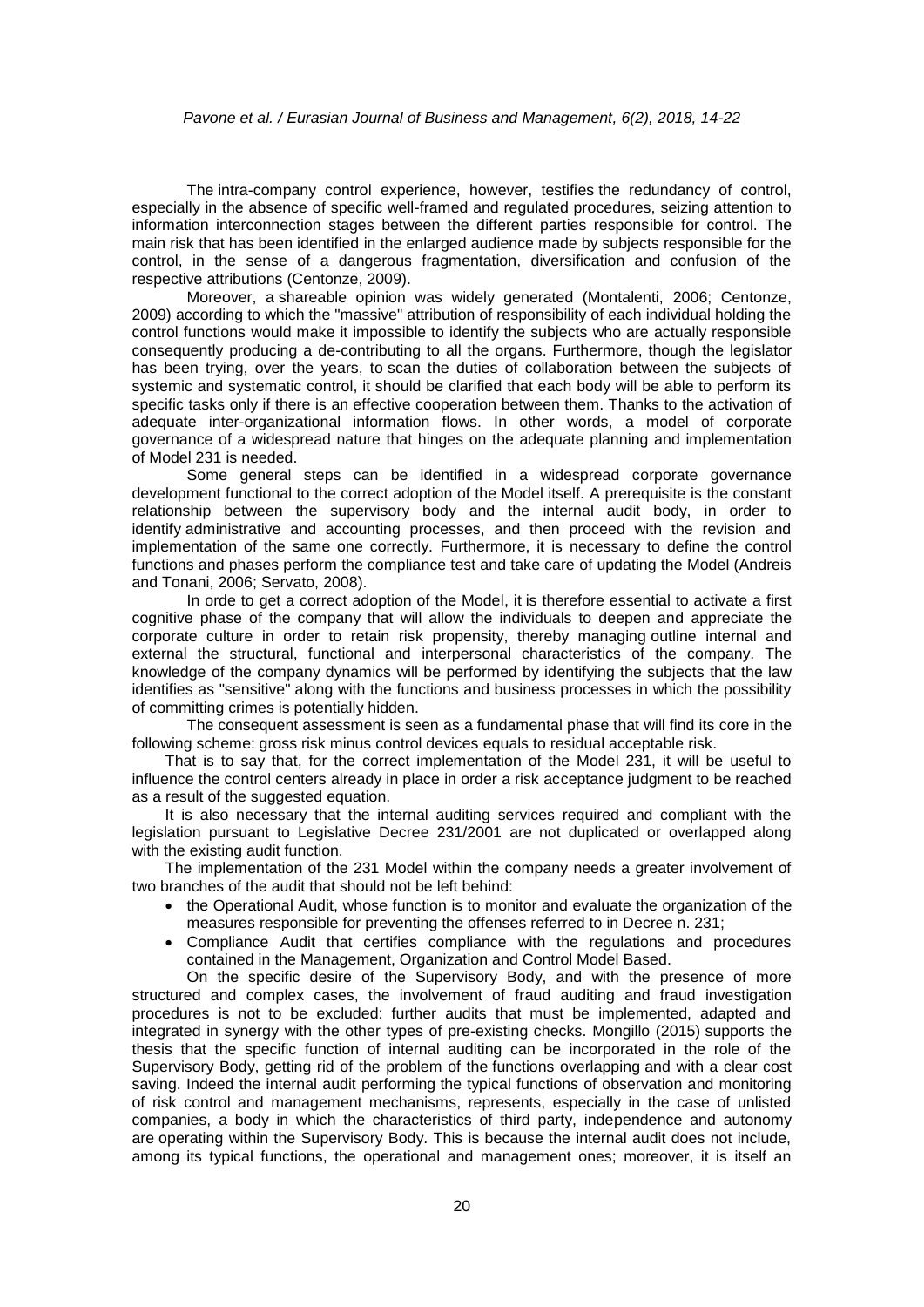The intra-company control experience, however, testifies the redundancy of control, especially in the absence of specific well-framed and regulated procedures, seizing attention to information interconnection stages between the different parties responsible for control. The main risk that has been identified in the enlarged audience made by subjects responsible for the control, in the sense of a dangerous fragmentation, diversification and confusion of the respective attributions (Centonze, 2009).

Moreover, a shareable opinion was widely generated (Montalenti, 2006; Centonze, 2009) according to which the "massive" attribution of responsibility of each individual holding the control functions would make it impossible to identify the subjects who are actually responsible consequently producing a de-contributing to all the organs. Furthermore, though the legislator has been trying, over the years, to scan the duties of collaboration between the subjects of systemic and systematic control, it should be clarified that each body will be able to perform its specific tasks only if there is an effective cooperation between them. Thanks to the activation of adequate inter-organizational information flows. In other words, a model of corporate governance of a widespread nature that hinges on the adequate planning and implementation of Model 231 is needed.

Some general steps can be identified in a widespread corporate governance development functional to the correct adoption of the Model itself. A prerequisite is the constant relationship between the supervisory body and the internal audit body, in order to identify administrative and accounting processes, and then proceed with the revision and implementation of the same one correctly. Furthermore, it is necessary to define the control functions and phases perform the compliance test and take care of updating the Model (Andreis and Tonani, 2006; Servato, 2008).

In orde to get a correct adoption of the Model, it is therefore essential to activate a first cognitive phase of the company that will allow the individuals to deepen and appreciate the corporate culture in order to retain risk propensity, thereby managing outline internal and external the structural, functional and interpersonal characteristics of the company. The knowledge of the company dynamics will be performed by identifying the subjects that the law identifies as "sensitive" along with the functions and business processes in which the possibility of committing crimes is potentially hidden.

The consequent assessment is seen as a fundamental phase that will find its core in the following scheme: gross risk minus control devices equals to residual acceptable risk.

That is to say that, for the correct implementation of the Model 231, it will be useful to influence the control centers already in place in order a risk acceptance judgment to be reached as a result of the suggested equation.

It is also necessary that the internal auditing services required and compliant with the legislation pursuant to Legislative Decree 231/2001 are not duplicated or overlapped along with the existing audit function.

The implementation of the 231 Model within the company needs a greater involvement of two branches of the audit that should not be left behind:

- the Operational Audit, whose function is to monitor and evaluate the organization of the measures responsible for preventing the offenses referred to in Decree n. 231;
- Compliance Audit that certifies compliance with the regulations and procedures contained in the Management, Organization and Control Model Based.

On the specific desire of the Supervisory Body, and with the presence of more structured and complex cases, the involvement of fraud auditing and fraud investigation procedures is not to be excluded: further audits that must be implemented, adapted and integrated in synergy with the other types of pre-existing checks. Mongillo (2015) supports the thesis that the specific function of internal auditing can be incorporated in the role of the Supervisory Body, getting rid of the problem of the functions overlapping and with a clear cost saving. Indeed the internal audit performing the typical functions of observation and monitoring of risk control and management mechanisms, represents, especially in the case of unlisted companies, a body in which the characteristics of third party, independence and autonomy are operating within the Supervisory Body. This is because the internal audit does not include, among its typical functions, the operational and management ones; moreover, it is itself an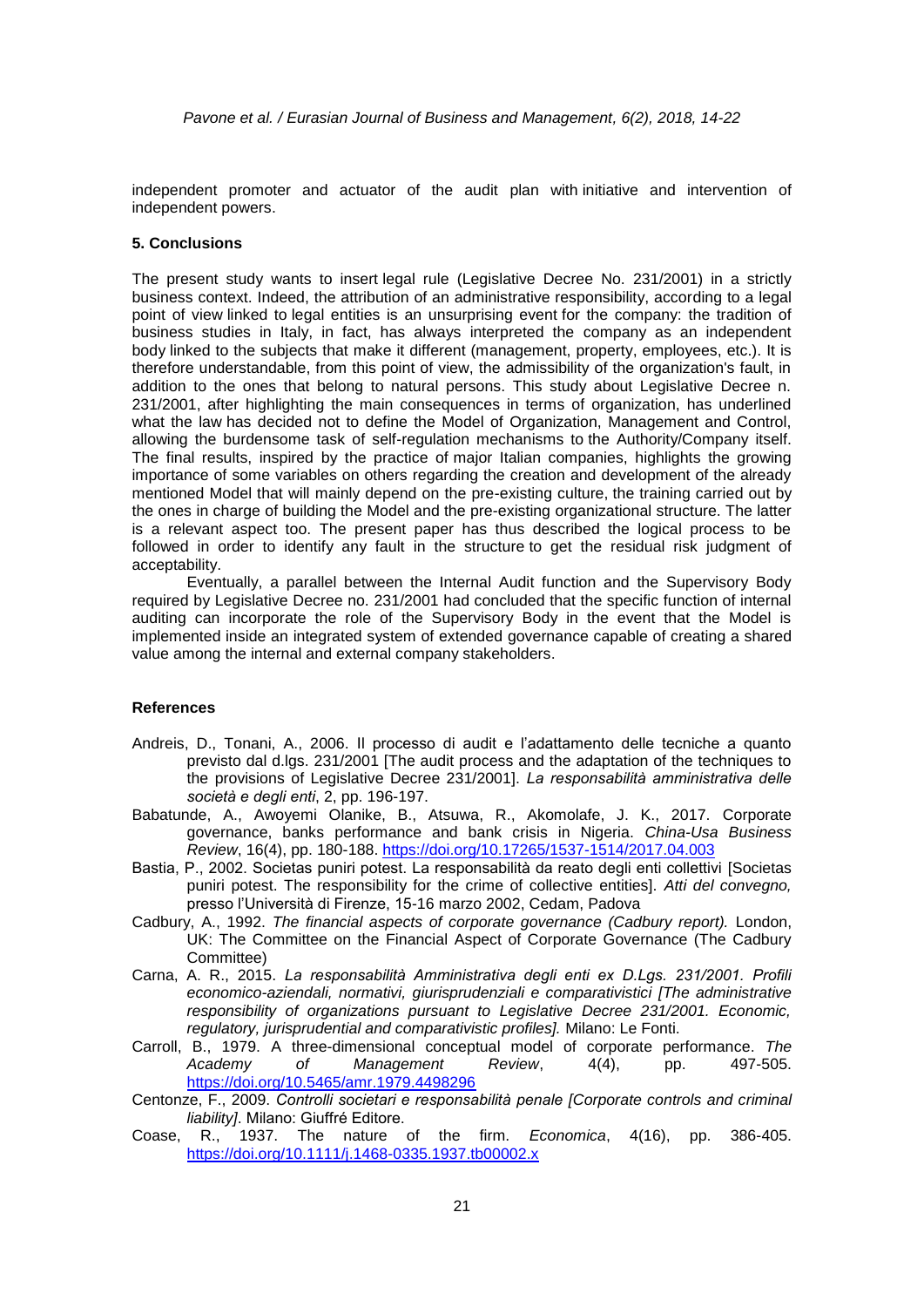independent promoter and actuator of the audit plan with initiative and intervention of independent powers.

#### **5. Conclusions**

The present study wants to insert legal rule (Legislative Decree No. 231/2001) in a strictly business context. Indeed, the attribution of an administrative responsibility, according to a legal point of view linked to legal entities is an unsurprising event for the company: the tradition of business studies in Italy, in fact, has always interpreted the company as an independent body linked to the subjects that make it different (management, property, employees, etc.). It is therefore understandable, from this point of view, the admissibility of the organization's fault, in addition to the ones that belong to natural persons. This study about Legislative Decree n. 231/2001, after highlighting the main consequences in terms of organization, has underlined what the law has decided not to define the Model of Organization, Management and Control, allowing the burdensome task of self-regulation mechanisms to the Authority/Company itself. The final results, inspired by the practice of major Italian companies, highlights the growing importance of some variables on others regarding the creation and development of the already mentioned Model that will mainly depend on the pre-existing culture, the training carried out by the ones in charge of building the Model and the pre-existing organizational structure. The latter is a relevant aspect too. The present paper has thus described the logical process to be followed in order to identify any fault in the structure to get the residual risk judgment of acceptability.

Eventually, a parallel between the Internal Audit function and the Supervisory Body required by Legislative Decree no. 231/2001 had concluded that the specific function of internal auditing can incorporate the role of the Supervisory Body in the event that the Model is implemented inside an integrated system of extended governance capable of creating a shared value among the internal and external company stakeholders.

#### **References**

- Andreis, D., Tonani, A., 2006. Il processo di audit e l'adattamento delle tecniche a quanto previsto dal d.lgs. 231/2001 [The audit process and the adaptation of the techniques to the provisions of Legislative Decree 231/2001]. *La responsabilità amministrativa delle società e degli enti*, 2, pp. 196-197.
- Babatunde, A., Awoyemi Olanike, B., Atsuwa, R., Akomolafe, J. K., 2017. Corporate governance, banks performance and bank crisis in Nigeria. *China-Usa Business Review*, 16(4), pp. 180-188. <https://doi.org/10.17265/1537-1514/2017.04.003>
- Bastia, P., 2002. Societas puniri potest. La responsabilità da reato degli enti collettivi [Societas puniri potest. The responsibility for the crime of collective entities]. *Atti del convegno,* presso l'Università di Firenze, 15-16 marzo 2002, Cedam, Padova
- Cadbury, A., 1992. *The financial aspects of corporate governance (Cadbury report).* London, UK: The Committee on the Financial Aspect of Corporate Governance (The Cadbury Committee)
- Carna, A. R., 2015. *La responsabilità Amministrativa degli enti ex D.Lgs. 231/2001. Profili economico-aziendali, normativi, giurisprudenziali e comparativistici [The administrative responsibility of organizations pursuant to Legislative Decree 231/2001. Economic, regulatory, jurisprudential and comparativistic profiles].* Milano: Le Fonti.
- Carroll, B., 1979. A three-dimensional conceptual model of corporate performance. *The Academy of Management Review*, 4(4), pp. 497-505. <https://doi.org/10.5465/amr.1979.4498296>
- Centonze, F., 2009. *Controlli societari e responsabilità penale [Corporate controls and criminal liability]*. Milano: Giuffré Editore.
- Coase, R., 1937. The nature of the firm. *Economica*, 4(16), pp. 386-405. <https://doi.org/10.1111/j.1468-0335.1937.tb00002.x>